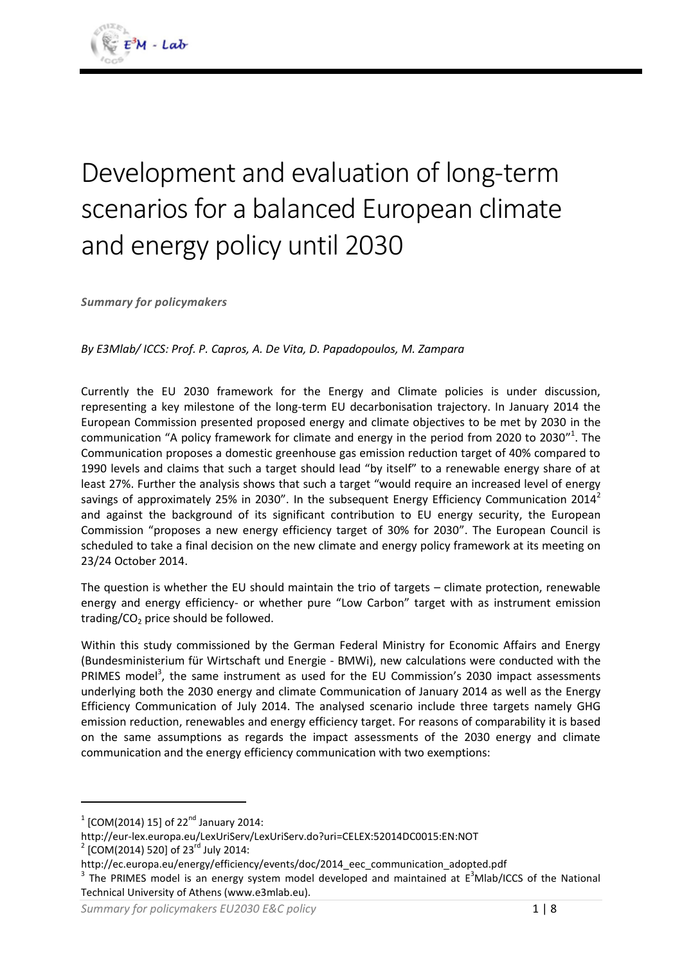# Development and evaluation of long-term scenarios for a balanced European climate and energy policy until 2030

*Summary for policymakers*

*By E3Mlab/ ICCS: Prof. P. Capros, A. De Vita, D. Papadopoulos, M. Zampara*

Currently the EU 2030 framework for the Energy and Climate policies is under discussion, representing a key milestone of the long-term EU decarbonisation trajectory. In January 2014 the European Commission presented proposed energy and climate objectives to be met by 2030 in the communication "A policy framework for climate and energy in the period from 2020 to 2030"<sup>1</sup>. The Communication proposes a domestic greenhouse gas emission reduction target of 40% compared to 1990 levels and claims that such a target should lead "by itself" to a renewable energy share of at least 27%. Further the analysis shows that such a target "would require an increased level of energy savings of approximately 25% in 2030". In the subsequent Energy Efficiency Communication 2014<sup>2</sup> and against the background of its significant contribution to EU energy security, the European Commission "proposes a new energy efficiency target of 30% for 2030". The European Council is scheduled to take a final decision on the new climate and energy policy framework at its meeting on 23/24 October 2014.

The question is whether the EU should maintain the trio of targets – climate protection, renewable energy and energy efficiency- or whether pure "Low Carbon" target with as instrument emission trading/ $CO<sub>2</sub>$  price should be followed.

Within this study commissioned by the German Federal Ministry for Economic Affairs and Energy (Bundesministerium für Wirtschaft und Energie - BMWi), new calculations were conducted with the PRIMES model<sup>3</sup>, the same instrument as used for the EU Commission's 2030 impact assessments underlying both the 2030 energy and climate Communication of January 2014 as well as the Energy Efficiency Communication of July 2014. The analysed scenario include three targets namely GHG emission reduction, renewables and energy efficiency target. For reasons of comparability it is based on the same assumptions as regards the impact assessments of the 2030 energy and climate communication and the energy efficiency communication with two exemptions:

**.** 

 $^{1}$  [COM(2014) 15] of 22<sup>nd</sup> January 2014:

http://eur-lex.europa.eu/LexUriServ/LexUriServ.do?uri=CELEX:52014DC0015:EN:NOT

 $^{2}$  [COM(2014) 520] of 23<sup>rd</sup> July 2014:

http://ec.europa.eu/energy/efficiency/events/doc/2014\_eec\_communication\_adopted.pdf

<sup>&</sup>lt;sup>3</sup> The PRIMES model is an energy system model developed and maintained at  $E^3$ Mlab/ICCS of the National Technical University of Athens (www.e3mlab.eu).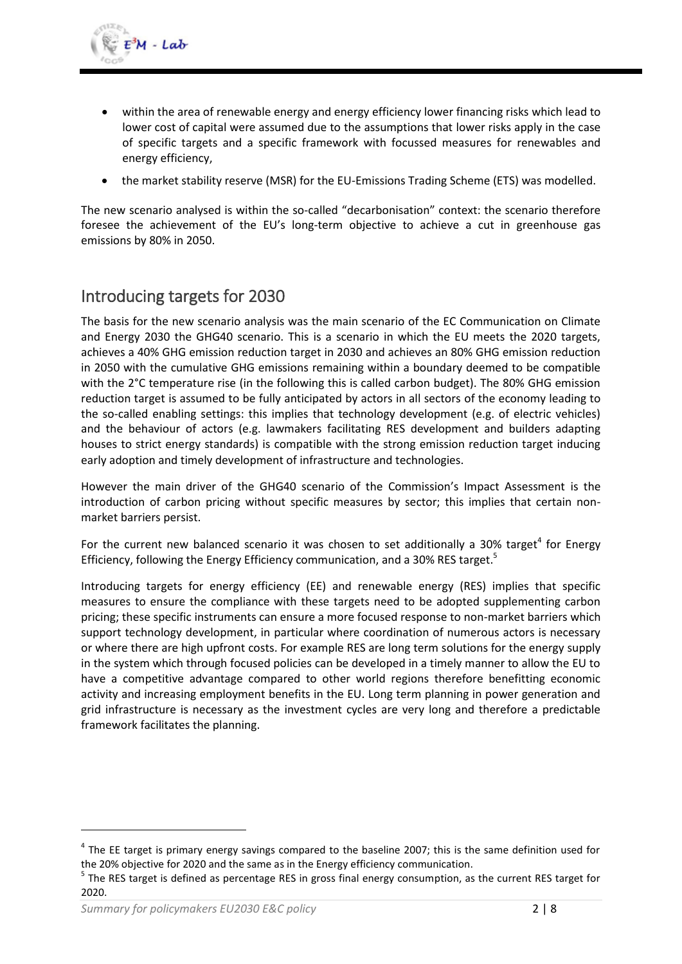- within the area of renewable energy and energy efficiency lower financing risks which lead to lower cost of capital were assumed due to the assumptions that lower risks apply in the case of specific targets and a specific framework with focussed measures for renewables and energy efficiency,
- the market stability reserve (MSR) for the EU-Emissions Trading Scheme (ETS) was modelled.

The new scenario analysed is within the so-called "decarbonisation" context: the scenario therefore foresee the achievement of the EU's long-term objective to achieve a cut in greenhouse gas emissions by 80% in 2050.

## Introducing targets for 2030

The basis for the new scenario analysis was the main scenario of the EC Communication on Climate and Energy 2030 the GHG40 scenario. This is a scenario in which the EU meets the 2020 targets, achieves a 40% GHG emission reduction target in 2030 and achieves an 80% GHG emission reduction in 2050 with the cumulative GHG emissions remaining within a boundary deemed to be compatible with the 2°C temperature rise (in the following this is called carbon budget). The 80% GHG emission reduction target is assumed to be fully anticipated by actors in all sectors of the economy leading to the so-called enabling settings: this implies that technology development (e.g. of electric vehicles) and the behaviour of actors (e.g. lawmakers facilitating RES development and builders adapting houses to strict energy standards) is compatible with the strong emission reduction target inducing early adoption and timely development of infrastructure and technologies.

However the main driver of the GHG40 scenario of the Commission's Impact Assessment is the introduction of carbon pricing without specific measures by sector; this implies that certain nonmarket barriers persist.

For the current new balanced scenario it was chosen to set additionally a 30% target<sup>4</sup> for Energy Efficiency, following the Energy Efficiency communication, and a 30% RES target.<sup>5</sup>

Introducing targets for energy efficiency (EE) and renewable energy (RES) implies that specific measures to ensure the compliance with these targets need to be adopted supplementing carbon pricing; these specific instruments can ensure a more focused response to non-market barriers which support technology development, in particular where coordination of numerous actors is necessary or where there are high upfront costs. For example RES are long term solutions for the energy supply in the system which through focused policies can be developed in a timely manner to allow the EU to have a competitive advantage compared to other world regions therefore benefitting economic activity and increasing employment benefits in the EU. Long term planning in power generation and grid infrastructure is necessary as the investment cycles are very long and therefore a predictable framework facilitates the planning.

**.** 

 $<sup>4</sup>$  The EE target is primary energy savings compared to the baseline 2007; this is the same definition used for</sup> the 20% objective for 2020 and the same as in the Energy efficiency communication.

<sup>&</sup>lt;sup>5</sup> The RES target is defined as percentage RES in gross final energy consumption, as the current RES target for 2020.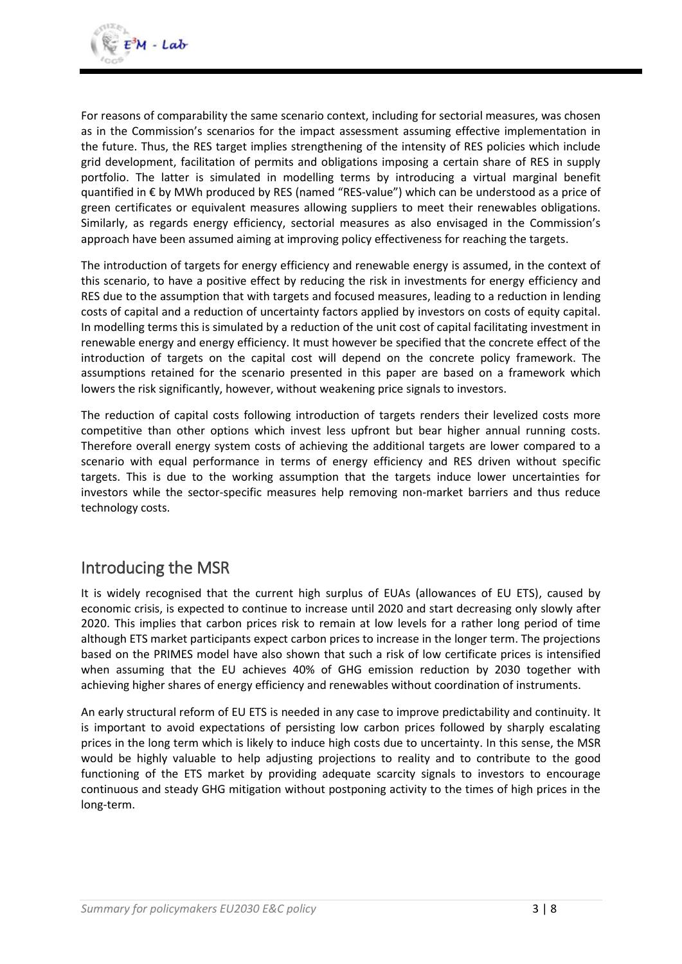For reasons of comparability the same scenario context, including for sectorial measures, was chosen as in the Commission's scenarios for the impact assessment assuming effective implementation in the future. Thus, the RES target implies strengthening of the intensity of RES policies which include grid development, facilitation of permits and obligations imposing a certain share of RES in supply portfolio. The latter is simulated in modelling terms by introducing a virtual marginal benefit quantified in € by MWh produced by RES (named "RES-value") which can be understood as a price of green certificates or equivalent measures allowing suppliers to meet their renewables obligations. Similarly, as regards energy efficiency, sectorial measures as also envisaged in the Commission's approach have been assumed aiming at improving policy effectiveness for reaching the targets.

The introduction of targets for energy efficiency and renewable energy is assumed, in the context of this scenario, to have a positive effect by reducing the risk in investments for energy efficiency and RES due to the assumption that with targets and focused measures, leading to a reduction in lending costs of capital and a reduction of uncertainty factors applied by investors on costs of equity capital. In modelling terms this is simulated by a reduction of the unit cost of capital facilitating investment in renewable energy and energy efficiency. It must however be specified that the concrete effect of the introduction of targets on the capital cost will depend on the concrete policy framework. The assumptions retained for the scenario presented in this paper are based on a framework which lowers the risk significantly, however, without weakening price signals to investors.

The reduction of capital costs following introduction of targets renders their levelized costs more competitive than other options which invest less upfront but bear higher annual running costs. Therefore overall energy system costs of achieving the additional targets are lower compared to a scenario with equal performance in terms of energy efficiency and RES driven without specific targets. This is due to the working assumption that the targets induce lower uncertainties for investors while the sector-specific measures help removing non-market barriers and thus reduce technology costs.

## Introducing the MSR

It is widely recognised that the current high surplus of EUAs (allowances of EU ETS), caused by economic crisis, is expected to continue to increase until 2020 and start decreasing only slowly after 2020. This implies that carbon prices risk to remain at low levels for a rather long period of time although ETS market participants expect carbon prices to increase in the longer term. The projections based on the PRIMES model have also shown that such a risk of low certificate prices is intensified when assuming that the EU achieves 40% of GHG emission reduction by 2030 together with achieving higher shares of energy efficiency and renewables without coordination of instruments.

An early structural reform of EU ETS is needed in any case to improve predictability and continuity. It is important to avoid expectations of persisting low carbon prices followed by sharply escalating prices in the long term which is likely to induce high costs due to uncertainty. In this sense, the MSR would be highly valuable to help adjusting projections to reality and to contribute to the good functioning of the ETS market by providing adequate scarcity signals to investors to encourage continuous and steady GHG mitigation without postponing activity to the times of high prices in the long-term.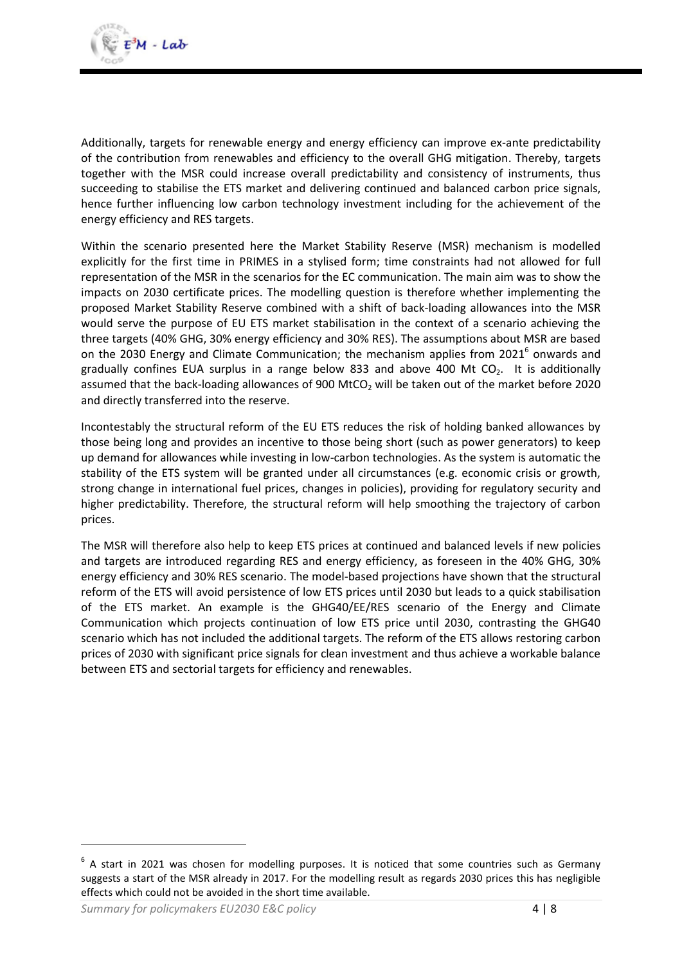Additionally, targets for renewable energy and energy efficiency can improve ex-ante predictability of the contribution from renewables and efficiency to the overall GHG mitigation. Thereby, targets together with the MSR could increase overall predictability and consistency of instruments, thus succeeding to stabilise the ETS market and delivering continued and balanced carbon price signals, hence further influencing low carbon technology investment including for the achievement of the energy efficiency and RES targets.

Within the scenario presented here the Market Stability Reserve (MSR) mechanism is modelled explicitly for the first time in PRIMES in a stylised form; time constraints had not allowed for full representation of the MSR in the scenarios for the EC communication. The main aim was to show the impacts on 2030 certificate prices. The modelling question is therefore whether implementing the proposed Market Stability Reserve combined with a shift of back-loading allowances into the MSR would serve the purpose of EU ETS market stabilisation in the context of a scenario achieving the three targets (40% GHG, 30% energy efficiency and 30% RES). The assumptions about MSR are based on the 2030 Energy and Climate Communication; the mechanism applies from 2021<sup>6</sup> onwards and gradually confines EUA surplus in a range below 833 and above 400 Mt  $CO<sub>2</sub>$ . It is additionally assumed that the back-loading allowances of 900 MtCO<sub>2</sub> will be taken out of the market before 2020 and directly transferred into the reserve.

Incontestably the structural reform of the EU ETS reduces the risk of holding banked allowances by those being long and provides an incentive to those being short (such as power generators) to keep up demand for allowances while investing in low-carbon technologies. As the system is automatic the stability of the ETS system will be granted under all circumstances (e.g. economic crisis or growth, strong change in international fuel prices, changes in policies), providing for regulatory security and higher predictability. Therefore, the structural reform will help smoothing the trajectory of carbon prices.

The MSR will therefore also help to keep ETS prices at continued and balanced levels if new policies and targets are introduced regarding RES and energy efficiency, as foreseen in the 40% GHG, 30% energy efficiency and 30% RES scenario. The model-based projections have shown that the structural reform of the ETS will avoid persistence of low ETS prices until 2030 but leads to a quick stabilisation of the ETS market. An example is the GHG40/EE/RES scenario of the Energy and Climate Communication which projects continuation of low ETS price until 2030, contrasting the GHG40 scenario which has not included the additional targets. The reform of the ETS allows restoring carbon prices of 2030 with significant price signals for clean investment and thus achieve a workable balance between ETS and sectorial targets for efficiency and renewables.

1

 $<sup>6</sup>$  A start in 2021 was chosen for modelling purposes. It is noticed that some countries such as Germany</sup> suggests a start of the MSR already in 2017. For the modelling result as regards 2030 prices this has negligible effects which could not be avoided in the short time available.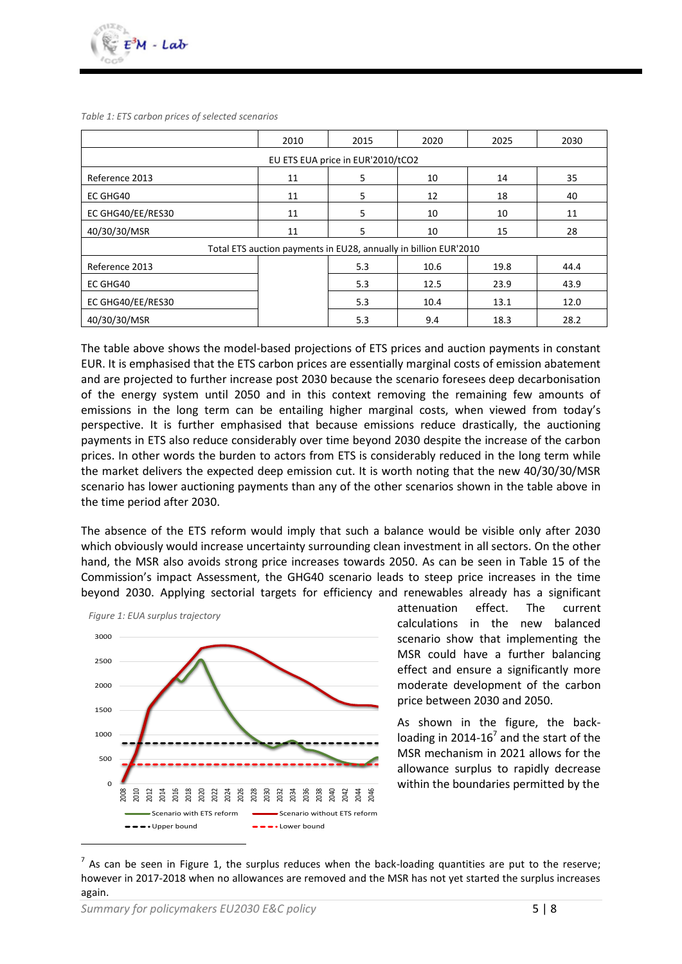*Table 1: ETS carbon prices of selected scenarios*

|                                                                  | 2010 | 2015    | 2020 | 2025 | 2030 |  |  |  |  |
|------------------------------------------------------------------|------|---------|------|------|------|--|--|--|--|
| EU ETS EUA price in EUR'2010/tCO2                                |      |         |      |      |      |  |  |  |  |
| Reference 2013                                                   | 11   | 5<br>10 |      | 14   | 35   |  |  |  |  |
| EC GHG40                                                         | 11   | 5       | 12   | 18   | 40   |  |  |  |  |
| EC GHG40/EE/RES30                                                | 11   | 5       | 10   | 10   | 11   |  |  |  |  |
| 40/30/30/MSR<br>11                                               |      | 5       | 10   | 15   | 28   |  |  |  |  |
| Total ETS auction payments in EU28, annually in billion EUR'2010 |      |         |      |      |      |  |  |  |  |
| Reference 2013                                                   |      | 5.3     | 10.6 | 19.8 | 44.4 |  |  |  |  |
| EC GHG40                                                         |      | 5.3     | 12.5 | 23.9 | 43.9 |  |  |  |  |
| EC GHG40/EE/RES30                                                |      | 5.3     | 10.4 | 13.1 | 12.0 |  |  |  |  |
| 40/30/30/MSR                                                     |      | 5.3     | 9.4  | 18.3 | 28.2 |  |  |  |  |

The table above shows the model-based projections of ETS prices and auction payments in constant EUR. It is emphasised that the ETS carbon prices are essentially marginal costs of emission abatement and are projected to further increase post 2030 because the scenario foresees deep decarbonisation of the energy system until 2050 and in this context removing the remaining few amounts of emissions in the long term can be entailing higher marginal costs, when viewed from today's perspective. It is further emphasised that because emissions reduce drastically, the auctioning payments in ETS also reduce considerably over time beyond 2030 despite the increase of the carbon prices. In other words the burden to actors from ETS is considerably reduced in the long term while the market delivers the expected deep emission cut. It is worth noting that the new 40/30/30/MSR scenario has lower auctioning payments than any of the other scenarios shown in the table above in the time period after 2030.

The absence of the ETS reform would imply that such a balance would be visible only after 2030 which obviously would increase uncertainty surrounding clean investment in all sectors. On the other hand, the MSR also avoids strong price increases towards 2050. As can be seen in Table 15 of the Commission's impact Assessment, the GHG40 scenario leads to steep price increases in the time beyond 2030. Applying sectorial targets for efficiency and renewables already has a significant

<span id="page-4-0"></span>

attenuation effect. The current calculations in the new balanced scenario show that implementing the MSR could have a further balancing effect and ensure a significantly more moderate development of the carbon price between 2030 and 2050.

As shown in the figure, the backloading in 2014-16 $^7$  and the start of the MSR mechanism in 2021 allows for the allowance surplus to rapidly decrease within the boundaries permitted by the

 $^7$  As can be seen in [Figure 1,](#page-4-0) the surplus reduces when the back-loading quantities are put to the reserve; however in 2017-2018 when no allowances are removed and the MSR has not yet started the surplus increases again.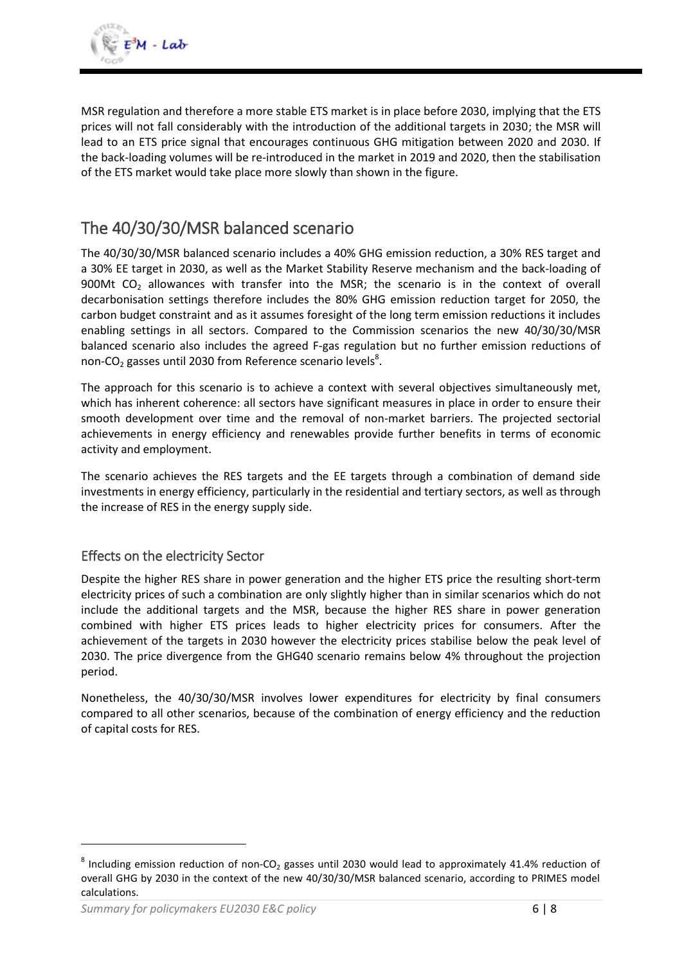MSR regulation and therefore a more stable ETS market is in place before 2030, implying that the ETS prices will not fall considerably with the introduction of the additional targets in 2030; the MSR will lead to an ETS price signal that encourages continuous GHG mitigation between 2020 and 2030. If the back-loading volumes will be re-introduced in the market in 2019 and 2020, then the stabilisation of the ETS market would take place more slowly than shown in the figure.

# The 40/30/30/MSR balanced scenario

The 40/30/30/MSR balanced scenario includes a 40% GHG emission reduction, a 30% RES target and a 30% EE target in 2030, as well as the Market Stability Reserve mechanism and the back-loading of 900Mt CO<sub>2</sub> allowances with transfer into the MSR; the scenario is in the context of overall decarbonisation settings therefore includes the 80% GHG emission reduction target for 2050, the carbon budget constraint and as it assumes foresight of the long term emission reductions it includes enabling settings in all sectors. Compared to the Commission scenarios the new 40/30/30/MSR balanced scenario also includes the agreed F-gas regulation but no further emission reductions of non-CO<sub>2</sub> gasses until 2030 from Reference scenario levels<sup>8</sup>.

The approach for this scenario is to achieve a context with several objectives simultaneously met, which has inherent coherence: all sectors have significant measures in place in order to ensure their smooth development over time and the removal of non-market barriers. The projected sectorial achievements in energy efficiency and renewables provide further benefits in terms of economic activity and employment.

The scenario achieves the RES targets and the EE targets through a combination of demand side investments in energy efficiency, particularly in the residential and tertiary sectors, as well as through the increase of RES in the energy supply side.

#### Effects on the electricity Sector

Despite the higher RES share in power generation and the higher ETS price the resulting short-term electricity prices of such a combination are only slightly higher than in similar scenarios which do not include the additional targets and the MSR, because the higher RES share in power generation combined with higher ETS prices leads to higher electricity prices for consumers. After the achievement of the targets in 2030 however the electricity prices stabilise below the peak level of 2030. The price divergence from the GHG40 scenario remains below 4% throughout the projection period.

Nonetheless, the 40/30/30/MSR involves lower expenditures for electricity by final consumers compared to all other scenarios, because of the combination of energy efficiency and the reduction of capital costs for RES.

1

 $^8$  Including emission reduction of non-CO<sub>2</sub> gasses until 2030 would lead to approximately 41.4% reduction of overall GHG by 2030 in the context of the new 40/30/30/MSR balanced scenario, according to PRIMES model calculations.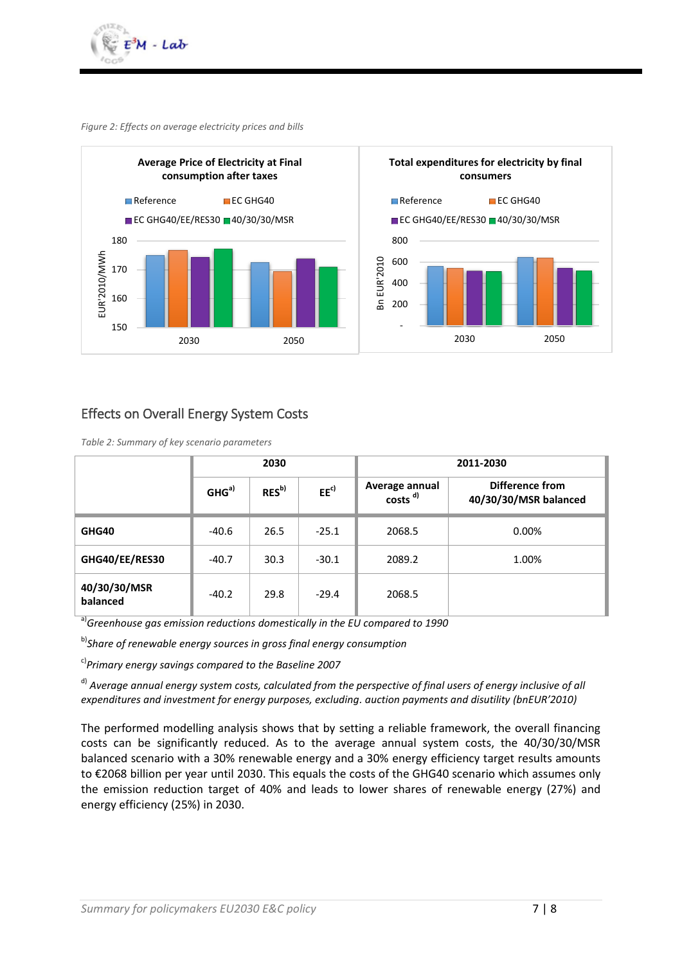

*Figure 2: Effects on average electricity prices and bills*



#### Effects on Overall Energy System Costs

*Table 2: Summary of key scenario parameters*

|                          | 2030             |                   |                 | 2011-2030                             |                                          |  |
|--------------------------|------------------|-------------------|-----------------|---------------------------------------|------------------------------------------|--|
|                          | GHG <sup>a</sup> | RES <sup>b)</sup> | EE <sup>c</sup> | Average annual<br>costs <sup>d)</sup> | Difference from<br>40/30/30/MSR balanced |  |
| GHG40                    | $-40.6$          | 26.5              | $-25.1$         | 2068.5                                | 0.00%                                    |  |
| GHG40/EE/RES30           | $-40.7$          | 30.3              | $-30.1$         | 2089.2                                | 1.00%                                    |  |
| 40/30/30/MSR<br>balanced | $-40.2$          | 29.8              | $-29.4$         | 2068.5                                |                                          |  |

a)*Greenhouse gas emission reductions domestically in the EU compared to 1990*

b)*Share of renewable energy sources in gross final energy consumption*

c)*Primary energy savings compared to the Baseline 2007*

d) *Average annual energy system costs, calculated from the perspective of final users of energy inclusive of all expenditures and investment for energy purposes, excluding. auction payments and disutility (bnEUR'2010)*

The performed modelling analysis shows that by setting a reliable framework, the overall financing costs can be significantly reduced. As to the average annual system costs, the 40/30/30/MSR balanced scenario with a 30% renewable energy and a 30% energy efficiency target results amounts to €2068 billion per year until 2030. This equals the costs of the GHG40 scenario which assumes only the emission reduction target of 40% and leads to lower shares of renewable energy (27%) and energy efficiency (25%) in 2030.